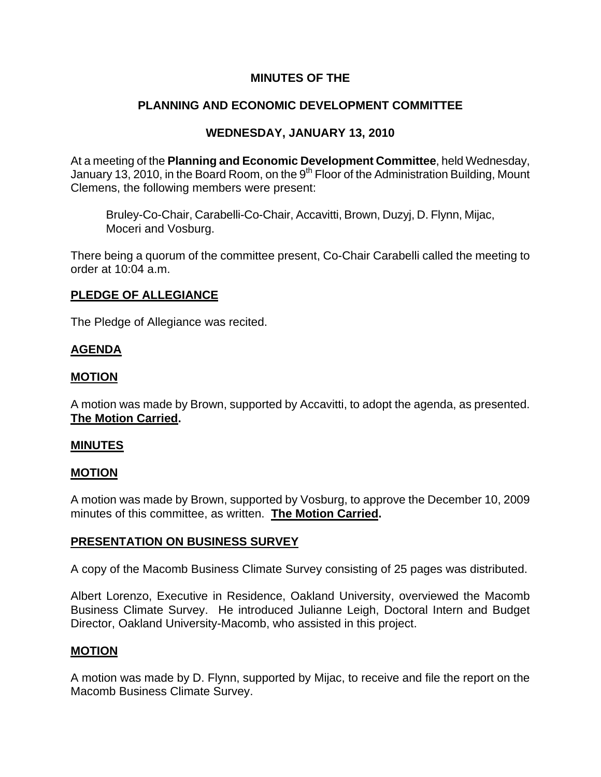# **MINUTES OF THE**

# **PLANNING AND ECONOMIC DEVELOPMENT COMMITTEE**

## **WEDNESDAY, JANUARY 13, 2010**

At a meeting of the **Planning and Economic Development Committee**, held Wednesday, January 13, 2010, in the Board Room, on the 9<sup>th</sup> Floor of the Administration Building, Mount Clemens, the following members were present:

Bruley-Co-Chair, Carabelli-Co-Chair, Accavitti, Brown, Duzyj, D. Flynn, Mijac, Moceri and Vosburg.

There being a quorum of the committee present, Co-Chair Carabelli called the meeting to order at 10:04 a.m.

### **PLEDGE OF ALLEGIANCE**

The Pledge of Allegiance was recited.

## **AGENDA**

### **MOTION**

A motion was made by Brown, supported by Accavitti, to adopt the agenda, as presented. **The Motion Carried.** 

#### **MINUTES**

### **MOTION**

A motion was made by Brown, supported by Vosburg, to approve the December 10, 2009 minutes of this committee, as written. **The Motion Carried.** 

## **PRESENTATION ON BUSINESS SURVEY**

A copy of the Macomb Business Climate Survey consisting of 25 pages was distributed.

Albert Lorenzo, Executive in Residence, Oakland University, overviewed the Macomb Business Climate Survey. He introduced Julianne Leigh, Doctoral Intern and Budget Director, Oakland University-Macomb, who assisted in this project.

#### **MOTION**

A motion was made by D. Flynn, supported by Mijac, to receive and file the report on the Macomb Business Climate Survey.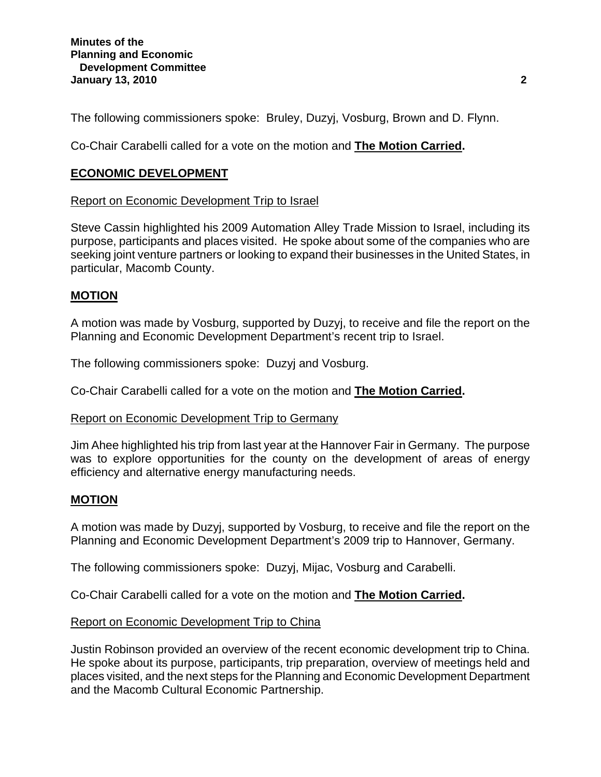The following commissioners spoke: Bruley, Duzyj, Vosburg, Brown and D. Flynn.

Co-Chair Carabelli called for a vote on the motion and **The Motion Carried.** 

## **ECONOMIC DEVELOPMENT**

### Report on Economic Development Trip to Israel

Steve Cassin highlighted his 2009 Automation Alley Trade Mission to Israel, including its purpose, participants and places visited. He spoke about some of the companies who are seeking joint venture partners or looking to expand their businesses in the United States, in particular, Macomb County.

# **MOTION**

A motion was made by Vosburg, supported by Duzyj, to receive and file the report on the Planning and Economic Development Department's recent trip to Israel.

The following commissioners spoke: Duzyj and Vosburg.

Co-Chair Carabelli called for a vote on the motion and **The Motion Carried.** 

## Report on Economic Development Trip to Germany

Jim Ahee highlighted his trip from last year at the Hannover Fair in Germany. The purpose was to explore opportunities for the county on the development of areas of energy efficiency and alternative energy manufacturing needs.

## **MOTION**

A motion was made by Duzyj, supported by Vosburg, to receive and file the report on the Planning and Economic Development Department's 2009 trip to Hannover, Germany.

The following commissioners spoke: Duzyj, Mijac, Vosburg and Carabelli.

Co-Chair Carabelli called for a vote on the motion and **The Motion Carried.** 

## Report on Economic Development Trip to China

Justin Robinson provided an overview of the recent economic development trip to China. He spoke about its purpose, participants, trip preparation, overview of meetings held and places visited, and the next steps for the Planning and Economic Development Department and the Macomb Cultural Economic Partnership.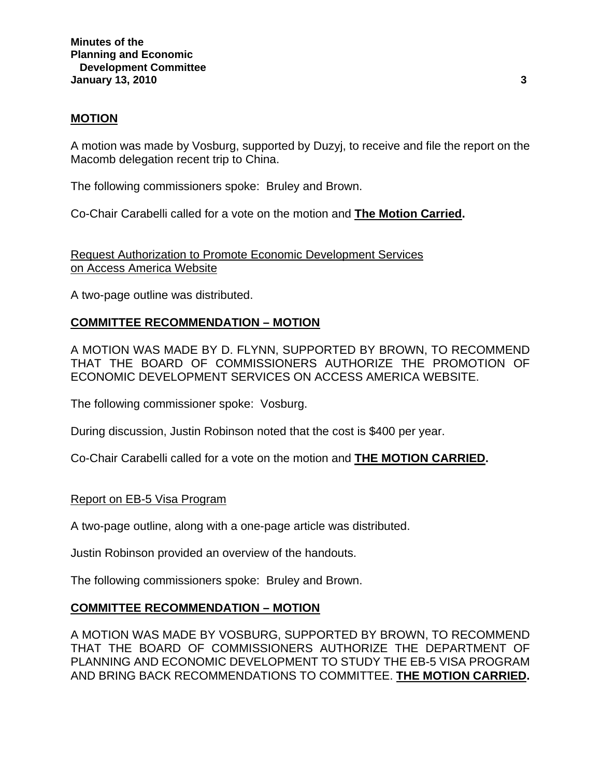#### **MOTION**

A motion was made by Vosburg, supported by Duzyj, to receive and file the report on the Macomb delegation recent trip to China.

The following commissioners spoke: Bruley and Brown.

Co-Chair Carabelli called for a vote on the motion and **The Motion Carried.** 

Request Authorization to Promote Economic Development Services on Access America Website

A two-page outline was distributed.

# **COMMITTEE RECOMMENDATION – MOTION**

A MOTION WAS MADE BY D. FLYNN, SUPPORTED BY BROWN, TO RECOMMEND THAT THE BOARD OF COMMISSIONERS AUTHORIZE THE PROMOTION OF ECONOMIC DEVELOPMENT SERVICES ON ACCESS AMERICA WEBSITE.

The following commissioner spoke: Vosburg.

During discussion, Justin Robinson noted that the cost is \$400 per year.

Co-Chair Carabelli called for a vote on the motion and **THE MOTION CARRIED.** 

#### Report on EB-5 Visa Program

A two-page outline, along with a one-page article was distributed.

Justin Robinson provided an overview of the handouts.

The following commissioners spoke: Bruley and Brown.

#### **COMMITTEE RECOMMENDATION – MOTION**

A MOTION WAS MADE BY VOSBURG, SUPPORTED BY BROWN, TO RECOMMEND THAT THE BOARD OF COMMISSIONERS AUTHORIZE THE DEPARTMENT OF PLANNING AND ECONOMIC DEVELOPMENT TO STUDY THE EB-5 VISA PROGRAM AND BRING BACK RECOMMENDATIONS TO COMMITTEE. **THE MOTION CARRIED.**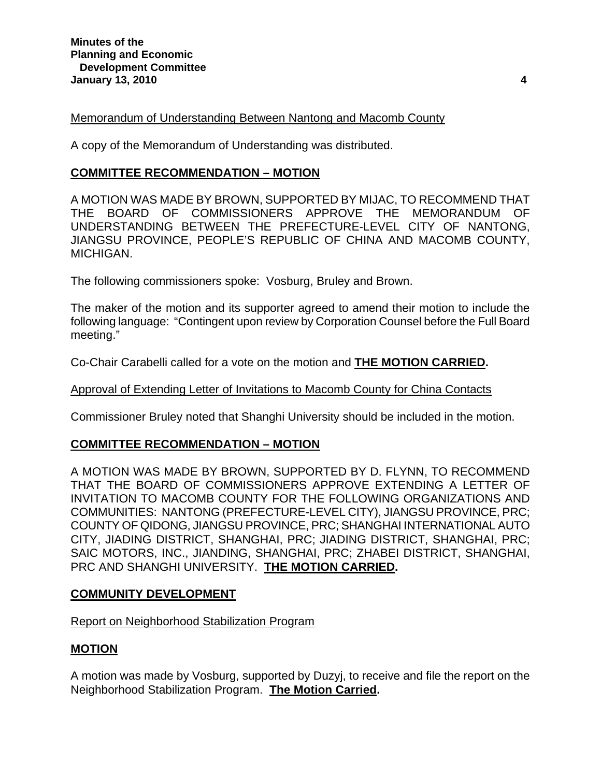### Memorandum of Understanding Between Nantong and Macomb County

A copy of the Memorandum of Understanding was distributed.

### **COMMITTEE RECOMMENDATION – MOTION**

A MOTION WAS MADE BY BROWN, SUPPORTED BY MIJAC, TO RECOMMEND THAT THE BOARD OF COMMISSIONERS APPROVE THE MEMORANDUM OF UNDERSTANDING BETWEEN THE PREFECTURE-LEVEL CITY OF NANTONG, JIANGSU PROVINCE, PEOPLE'S REPUBLIC OF CHINA AND MACOMB COUNTY, MICHIGAN.

The following commissioners spoke: Vosburg, Bruley and Brown.

The maker of the motion and its supporter agreed to amend their motion to include the following language: "Contingent upon review by Corporation Counsel before the Full Board meeting."

Co-Chair Carabelli called for a vote on the motion and **THE MOTION CARRIED.** 

#### Approval of Extending Letter of Invitations to Macomb County for China Contacts

Commissioner Bruley noted that Shanghi University should be included in the motion.

## **COMMITTEE RECOMMENDATION – MOTION**

A MOTION WAS MADE BY BROWN, SUPPORTED BY D. FLYNN, TO RECOMMEND THAT THE BOARD OF COMMISSIONERS APPROVE EXTENDING A LETTER OF INVITATION TO MACOMB COUNTY FOR THE FOLLOWING ORGANIZATIONS AND COMMUNITIES: NANTONG (PREFECTURE-LEVEL CITY), JIANGSU PROVINCE, PRC; COUNTY OF QIDONG, JIANGSU PROVINCE, PRC; SHANGHAI INTERNATIONAL AUTO CITY, JIADING DISTRICT, SHANGHAI, PRC; JIADING DISTRICT, SHANGHAI, PRC; SAIC MOTORS, INC., JIANDING, SHANGHAI, PRC; ZHABEI DISTRICT, SHANGHAI, PRC AND SHANGHI UNIVERSITY. **THE MOTION CARRIED.** 

#### **COMMUNITY DEVELOPMENT**

#### Report on Neighborhood Stabilization Program

## **MOTION**

A motion was made by Vosburg, supported by Duzyj, to receive and file the report on the Neighborhood Stabilization Program. **The Motion Carried.**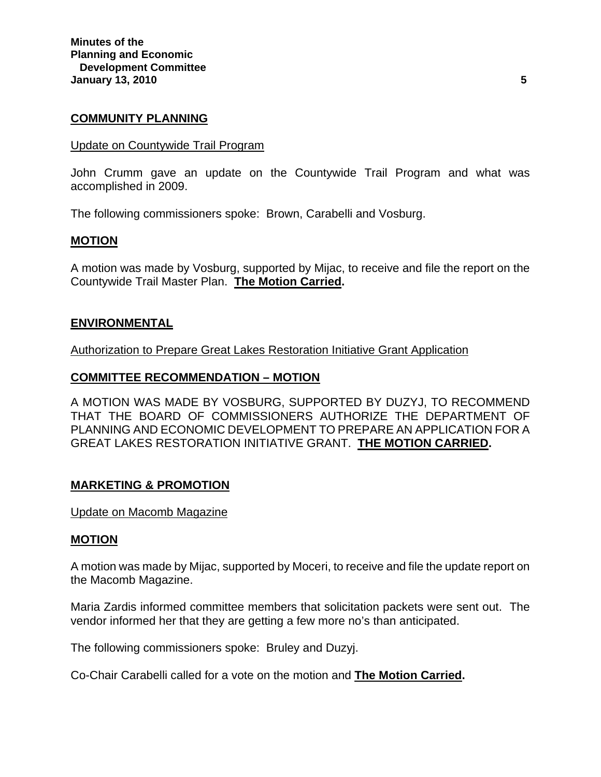#### **COMMUNITY PLANNING**

#### Update on Countywide Trail Program

John Crumm gave an update on the Countywide Trail Program and what was accomplished in 2009.

The following commissioners spoke: Brown, Carabelli and Vosburg.

#### **MOTION**

A motion was made by Vosburg, supported by Mijac, to receive and file the report on the Countywide Trail Master Plan. **The Motion Carried.** 

#### **ENVIRONMENTAL**

Authorization to Prepare Great Lakes Restoration Initiative Grant Application

### **COMMITTEE RECOMMENDATION – MOTION**

A MOTION WAS MADE BY VOSBURG, SUPPORTED BY DUZYJ, TO RECOMMEND THAT THE BOARD OF COMMISSIONERS AUTHORIZE THE DEPARTMENT OF PLANNING AND ECONOMIC DEVELOPMENT TO PREPARE AN APPLICATION FOR A GREAT LAKES RESTORATION INITIATIVE GRANT. **THE MOTION CARRIED.** 

#### **MARKETING & PROMOTION**

#### Update on Macomb Magazine

#### **MOTION**

A motion was made by Mijac, supported by Moceri, to receive and file the update report on the Macomb Magazine.

Maria Zardis informed committee members that solicitation packets were sent out. The vendor informed her that they are getting a few more no's than anticipated.

The following commissioners spoke: Bruley and Duzyj.

Co-Chair Carabelli called for a vote on the motion and **The Motion Carried.**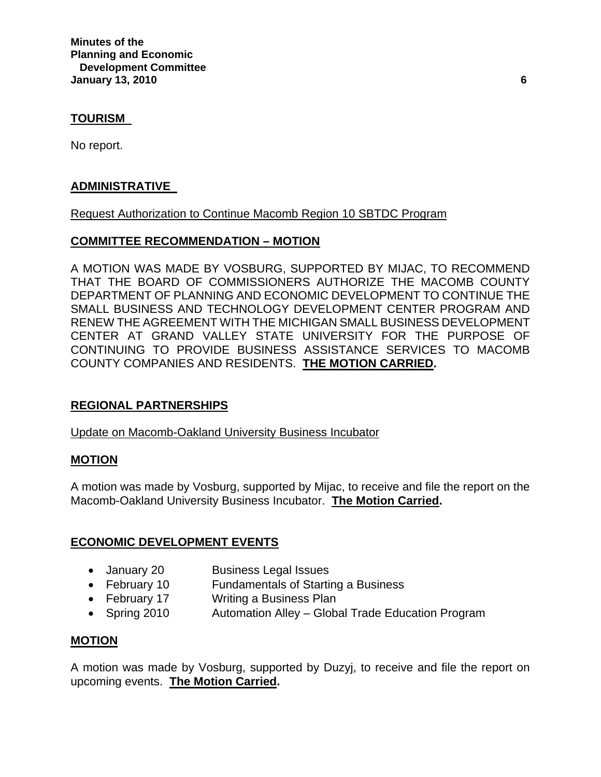**Minutes of the Planning and Economic Development Committee January 13, 2010 6** 

### **TOURISM**

No report.

### **ADMINISTRATIVE**

### Request Authorization to Continue Macomb Region 10 SBTDC Program

### **COMMITTEE RECOMMENDATION – MOTION**

A MOTION WAS MADE BY VOSBURG, SUPPORTED BY MIJAC, TO RECOMMEND THAT THE BOARD OF COMMISSIONERS AUTHORIZE THE MACOMB COUNTY DEPARTMENT OF PLANNING AND ECONOMIC DEVELOPMENT TO CONTINUE THE SMALL BUSINESS AND TECHNOLOGY DEVELOPMENT CENTER PROGRAM AND RENEW THE AGREEMENT WITH THE MICHIGAN SMALL BUSINESS DEVELOPMENT CENTER AT GRAND VALLEY STATE UNIVERSITY FOR THE PURPOSE OF CONTINUING TO PROVIDE BUSINESS ASSISTANCE SERVICES TO MACOMB COUNTY COMPANIES AND RESIDENTS. **THE MOTION CARRIED.**

## **REGIONAL PARTNERSHIPS**

Update on Macomb-Oakland University Business Incubator

#### **MOTION**

A motion was made by Vosburg, supported by Mijac, to receive and file the report on the Macomb-Oakland University Business Incubator. **The Motion Carried.** 

## **ECONOMIC DEVELOPMENT EVENTS**

- January 20 Business Legal Issues
- February 10 Fundamentals of Starting a Business
- February 17 Writing a Business Plan
- Spring 2010 Automation Alley Global Trade Education Program

#### **MOTION**

A motion was made by Vosburg, supported by Duzyj, to receive and file the report on upcoming events. **The Motion Carried.**